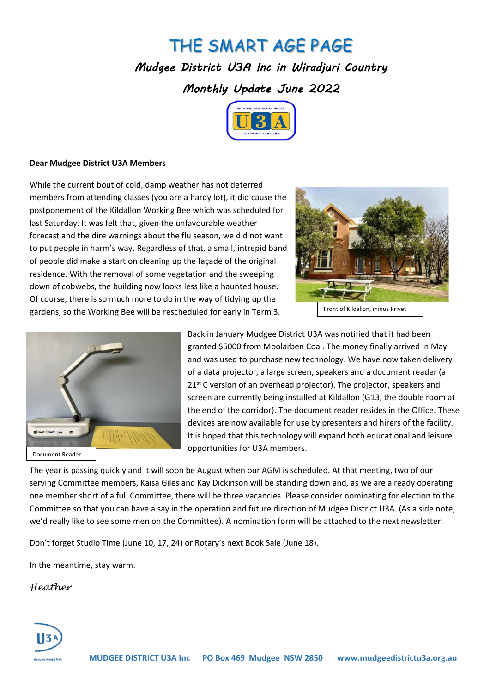## THE SMART AGE PAGE

*Mudgee District U3A Inc in Wiradjuri Country Monthly Update June 2022* 



## **Dear Mudgee District U3A Members**

While the current bout of cold, damp weather has not deterred members from attending classes (you are a hardy lot), it did cause the postponement of the Kildallon Working Bee which was scheduled for last Saturday. It was felt that, given the unfavourable weather forecast and the dire warnings about the flu season, we did not want to put people in harm's way. Regardless of that, a small, intrepid band of people did make a start on cleaning up the façade of the original residence. With the removal of some vegetation and the sweeping down of cobwebs, the building now looks less like a haunted house. Of course, there is so much more to do in the way of tidying up the gardens, so the Working Bee will be rescheduled for early in Term 3.



Front of Kildallon, minus Privet



Back in January Mudgee District U3A was notified that it had been granted \$5000 from Moolarben Coal. The money finally arrived in May and was used to purchase new technology. We have now taken delivery of a data projector, a large screen, speakers and a document reader (a 21<sup>st</sup> C version of an overhead projector). The projector, speakers and screen are currently being installed at Kildallon (G13, the double room at the end of the corridor). The document reader resides in the Office. These devices are now available for use by presenters and hirers of the facility. It is hoped that this technology will expand both educational and leisure opportunities for U3A members.

The year is passing quickly and it will soon be August when our AGM is scheduled. At that meeting, two of our serving Committee members, Kaisa Giles and Kay Dickinson will be standing down and, as we are already operating one member short of a full Committee, there will be three vacancies. Please consider nominating for election to the Committee so that you can have a say in the operation and future direction of Mudgee District U3A. (As a side note, we'd really like to see some men on the Committee). A nomination form will be attached to the next newsletter.

Don't forget Studio Time (June 10, 17, 24) or Rotary's next Book Sale (June 18).

In the meantime, stay warm.

*Heather*